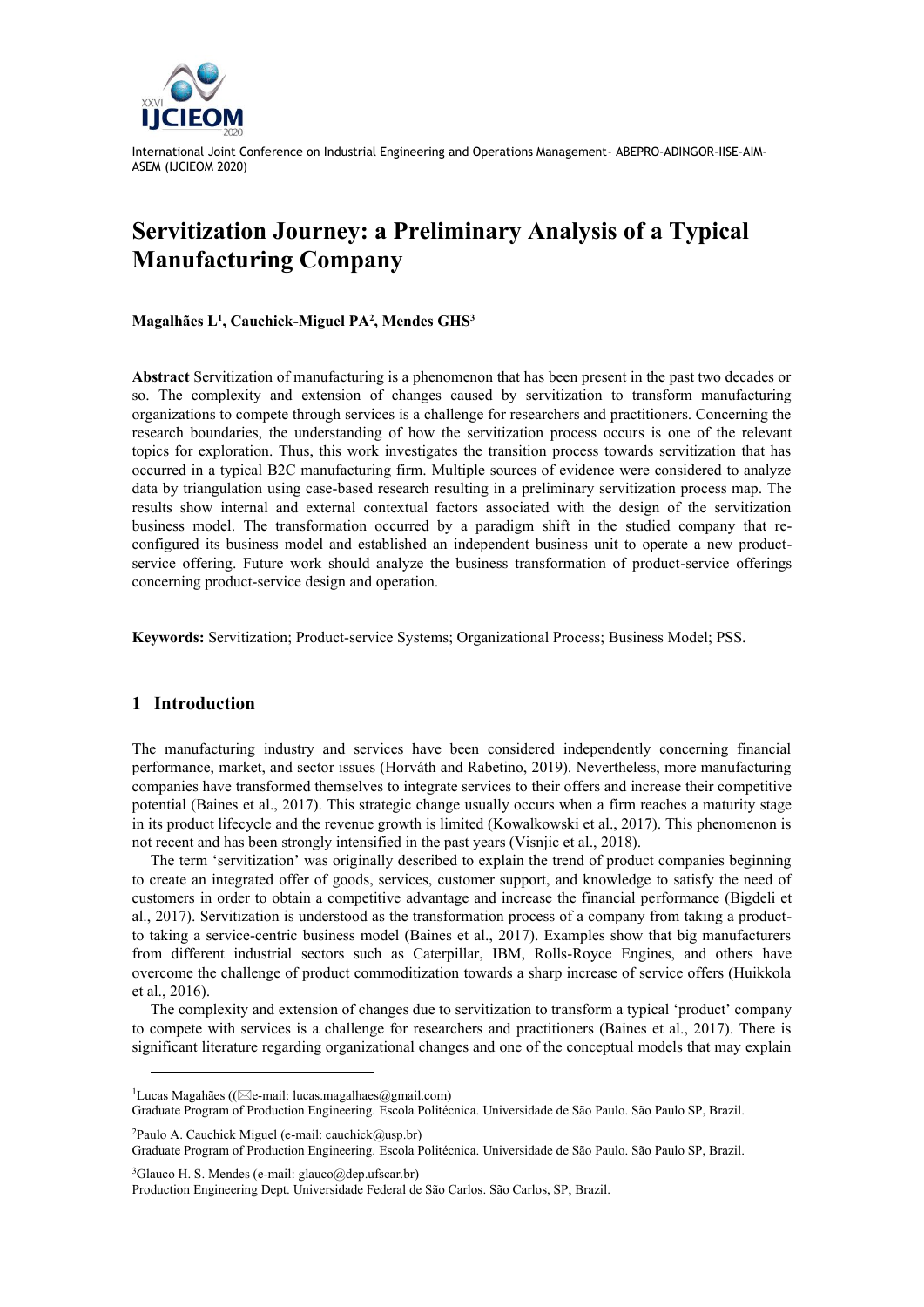

# **Servitization Journey: a Preliminary Analysis of a Typical Manufacturing Company**

**Magalhães L<sup>1</sup> , Cauchick-Miguel PA<sup>2</sup> , Mendes GHS<sup>3</sup>**

**Abstract** Servitization of manufacturing is a phenomenon that has been present in the past two decades or so. The complexity and extension of changes caused by servitization to transform manufacturing organizations to compete through services is a challenge for researchers and practitioners. Concerning the research boundaries, the understanding of how the servitization process occurs is one of the relevant topics for exploration. Thus, this work investigates the transition process towards servitization that has occurred in a typical B2C manufacturing firm. Multiple sources of evidence were considered to analyze data by triangulation using case-based research resulting in a preliminary servitization process map. The results show internal and external contextual factors associated with the design of the servitization business model. The transformation occurred by a paradigm shift in the studied company that reconfigured its business model and established an independent business unit to operate a new productservice offering. Future work should analyze the business transformation of product-service offerings concerning product-service design and operation.

**Keywords:** Servitization; Product-service Systems; Organizational Process; Business Model; PSS.

## **1 Introduction**

The manufacturing industry and services have been considered independently concerning financial performance, market, and sector issues (Horváth and Rabetino, 2019). Nevertheless, more manufacturing companies have transformed themselves to integrate services to their offers and increase their competitive potential (Baines et al., 2017). This strategic change usually occurs when a firm reaches a maturity stage in its product lifecycle and the revenue growth is limited (Kowalkowski et al., 2017). This phenomenon is not recent and has been strongly intensified in the past years (Visnjic et al., 2018).

The term 'servitization' was originally described to explain the trend of product companies beginning to create an integrated offer of goods, services, customer support, and knowledge to satisfy the need of customers in order to obtain a competitive advantage and increase the financial performance (Bigdeli et al., 2017). Servitization is understood as the transformation process of a company from taking a productto taking a service-centric business model (Baines et al., 2017). Examples show that big manufacturers from different industrial sectors such as Caterpillar, IBM, Rolls-Royce Engines, and others have overcome the challenge of product commoditization towards a sharp increase of service offers (Huikkola et al., 2016).

The complexity and extension of changes due to servitization to transform a typical 'product' company to compete with services is a challenge for researchers and practitioners (Baines et al., 2017). There is significant literature regarding organizational changes and one of the conceptual models that may explain

<sup>2</sup>Paulo A. Cauchick Miguel (e-mail: cauchick@usp.br)

Graduate Program of Production Engineering. Escola Politécnica. Universidade de São Paulo. São Paulo SP, Brazil.

<sup>3</sup>Glauco H. S. Mendes (e-mail: glauco@dep.ufscar.br)

 $1$ Lucas Magahães (( $\boxtimes$ e-mail: lucas.magalhaes@gmail.com)

Graduate Program of Production Engineering. Escola Politécnica. Universidade de São Paulo. São Paulo SP, Brazil.

Production Engineering Dept. Universidade Federal de São Carlos. São Carlos, SP, Brazil.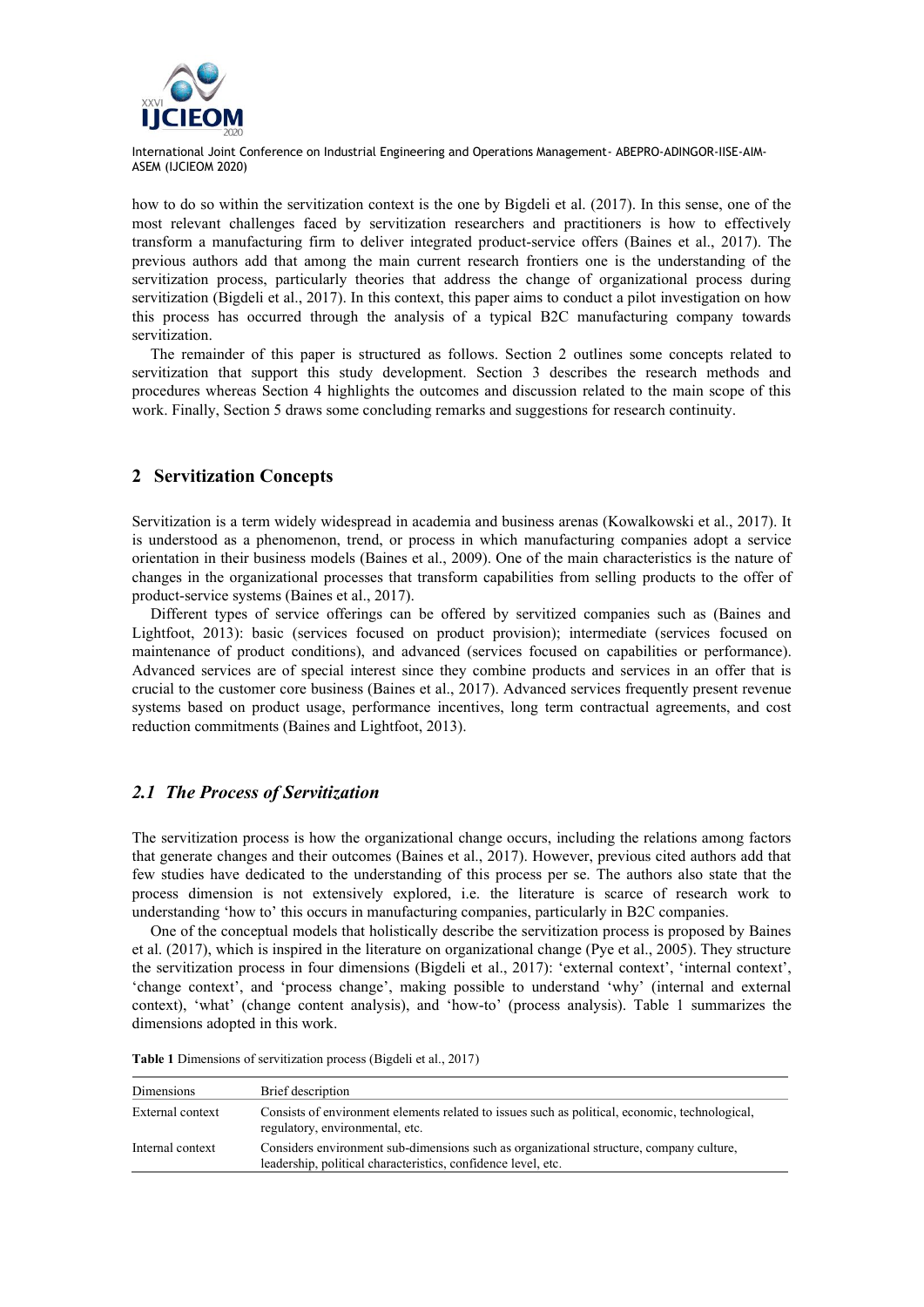

how to do so within the servitization context is the one by Bigdeli et al. (2017). In this sense, one of the most relevant challenges faced by servitization researchers and practitioners is how to effectively transform a manufacturing firm to deliver integrated product-service offers (Baines et al., 2017). The previous authors add that among the main current research frontiers one is the understanding of the servitization process, particularly theories that address the change of organizational process during servitization (Bigdeli et al., 2017). In this context, this paper aims to conduct a pilot investigation on how this process has occurred through the analysis of a typical B2C manufacturing company towards servitization.

The remainder of this paper is structured as follows. Section 2 outlines some concepts related to servitization that support this study development. Section 3 describes the research methods and procedures whereas Section 4 highlights the outcomes and discussion related to the main scope of this work. Finally, Section 5 draws some concluding remarks and suggestions for research continuity.

## **2 Servitization Concepts**

Servitization is a term widely widespread in academia and business arenas (Kowalkowski et al., 2017). It is understood as a phenomenon, trend, or process in which manufacturing companies adopt a service orientation in their business models (Baines et al., 2009). One of the main characteristics is the nature of changes in the organizational processes that transform capabilities from selling products to the offer of product-service systems (Baines et al., 2017).

Different types of service offerings can be offered by servitized companies such as (Baines and Lightfoot, 2013): basic (services focused on product provision); intermediate (services focused on maintenance of product conditions), and advanced (services focused on capabilities or performance). Advanced services are of special interest since they combine products and services in an offer that is crucial to the customer core business (Baines et al., 2017). Advanced services frequently present revenue systems based on product usage, performance incentives, long term contractual agreements, and cost reduction commitments (Baines and Lightfoot, 2013).

# *2.1 The Process of Servitization*

The servitization process is how the organizational change occurs, including the relations among factors that generate changes and their outcomes (Baines et al., 2017). However, previous cited authors add that few studies have dedicated to the understanding of this process per se. The authors also state that the process dimension is not extensively explored, i.e. the literature is scarce of research work to understanding 'how to' this occurs in manufacturing companies, particularly in B2C companies.

One of the conceptual models that holistically describe the servitization process is proposed by Baines et al. (2017), which is inspired in the literature on organizational change (Pye et al., 2005). They structure the servitization process in four dimensions (Bigdeli et al., 2017): 'external context', 'internal context', 'change context', and 'process change', making possible to understand 'why' (internal and external context), 'what' (change content analysis), and 'how-to' (process analysis). Table 1 summarizes the dimensions adopted in this work.

| Dimensions       | Brief description                                                                                                                                        |
|------------------|----------------------------------------------------------------------------------------------------------------------------------------------------------|
| External context | Consists of environment elements related to issues such as political, economic, technological,<br>regulatory, environmental, etc.                        |
| Internal context | Considers environment sub-dimensions such as organizational structure, company culture,<br>leadership, political characteristics, confidence level, etc. |

**Table 1** Dimensions of servitization process (Bigdeli et al., 2017)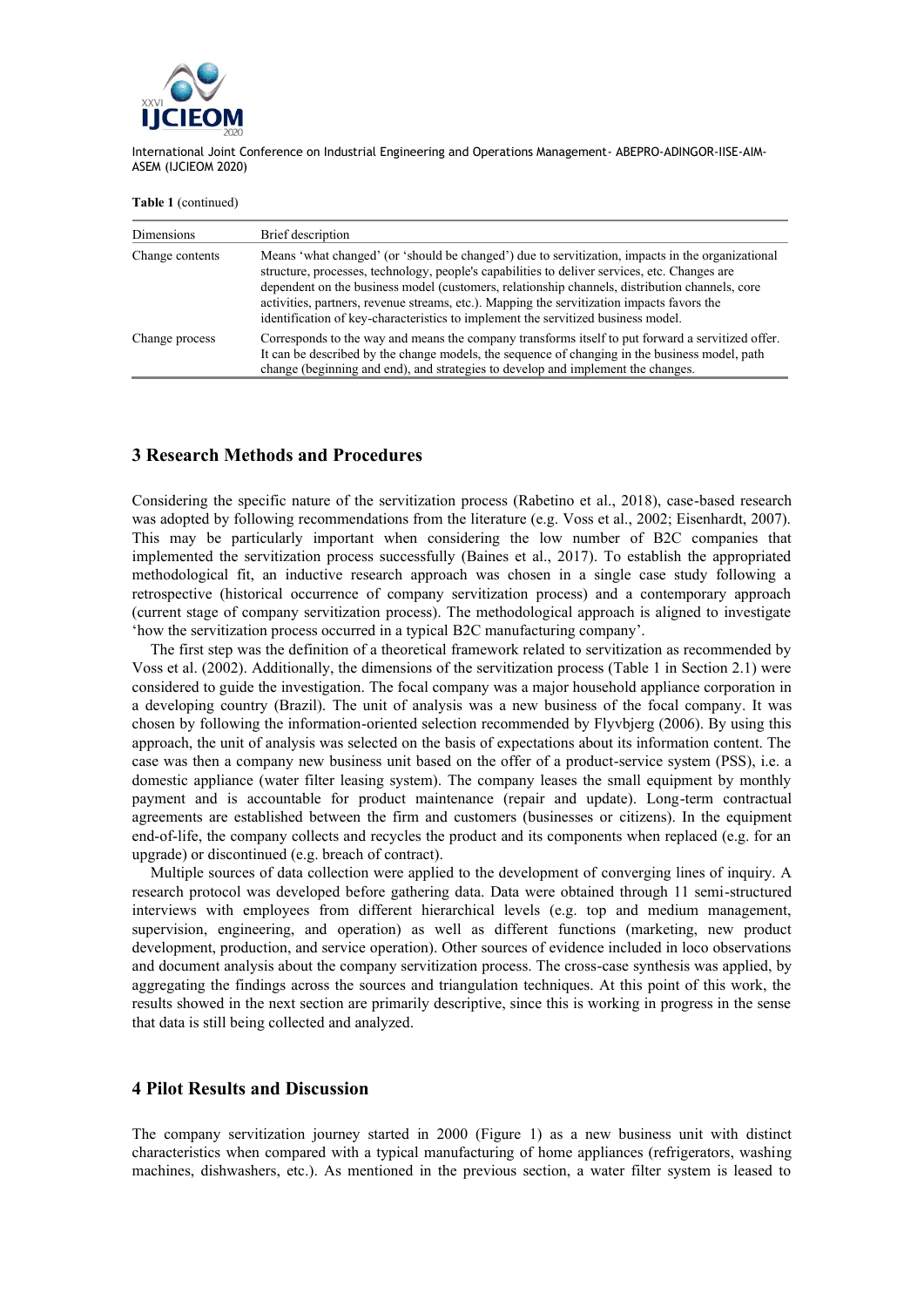

**Table 1** (continued)

| Dimensions      | Brief description                                                                                                                                                                                                                                                                                                                                                                                                                                                                       |
|-----------------|-----------------------------------------------------------------------------------------------------------------------------------------------------------------------------------------------------------------------------------------------------------------------------------------------------------------------------------------------------------------------------------------------------------------------------------------------------------------------------------------|
| Change contents | Means 'what changed' (or 'should be changed') due to servitization, impacts in the organizational<br>structure, processes, technology, people's capabilities to deliver services, etc. Changes are<br>dependent on the business model (customers, relationship channels, distribution channels, core<br>activities, partners, revenue streams, etc.). Mapping the servitization impacts favors the<br>identification of key-characteristics to implement the servitized business model. |
| Change process  | Corresponds to the way and means the company transforms itself to put forward a servitized offer.<br>It can be described by the change models, the sequence of changing in the business model, path<br>change (beginning and end), and strategies to develop and implement the changes.                                                                                                                                                                                                 |

#### **3 Research Methods and Procedures**

Considering the specific nature of the servitization process (Rabetino et al., 2018), case-based research was adopted by following recommendations from the literature (e.g. Voss et al., 2002; Eisenhardt, 2007). This may be particularly important when considering the low number of B2C companies that implemented the servitization process successfully (Baines et al., 2017). To establish the appropriated methodological fit, an inductive research approach was chosen in a single case study following a retrospective (historical occurrence of company servitization process) and a contemporary approach (current stage of company servitization process). The methodological approach is aligned to investigate 'how the servitization process occurred in a typical B2C manufacturing company'.

The first step was the definition of a theoretical framework related to servitization as recommended by Voss et al. (2002). Additionally, the dimensions of the servitization process (Table 1 in Section 2.1) were considered to guide the investigation. The focal company was a major household appliance corporation in a developing country (Brazil). The unit of analysis was a new business of the focal company. It was chosen by following the information-oriented selection recommended by Flyvbjerg (2006). By using this approach, the unit of analysis was selected on the basis of expectations about its information content. The case was then a company new business unit based on the offer of a product-service system (PSS), i.e. a domestic appliance (water filter leasing system). The company leases the small equipment by monthly payment and is accountable for product maintenance (repair and update). Long-term contractual agreements are established between the firm and customers (businesses or citizens). In the equipment end-of-life, the company collects and recycles the product and its components when replaced (e.g. for an upgrade) or discontinued (e.g. breach of contract).

Multiple sources of data collection were applied to the development of converging lines of inquiry. A research protocol was developed before gathering data. Data were obtained through 11 semi-structured interviews with employees from different hierarchical levels (e.g. top and medium management, supervision, engineering, and operation) as well as different functions (marketing, new product development, production, and service operation). Other sources of evidence included in loco observations and document analysis about the company servitization process. The cross-case synthesis was applied, by aggregating the findings across the sources and triangulation techniques. At this point of this work, the results showed in the next section are primarily descriptive, since this is working in progress in the sense that data is still being collected and analyzed.

#### **4 Pilot Results and Discussion**

The company servitization journey started in 2000 (Figure 1) as a new business unit with distinct characteristics when compared with a typical manufacturing of home appliances (refrigerators, washing machines, dishwashers, etc.). As mentioned in the previous section, a water filter system is leased to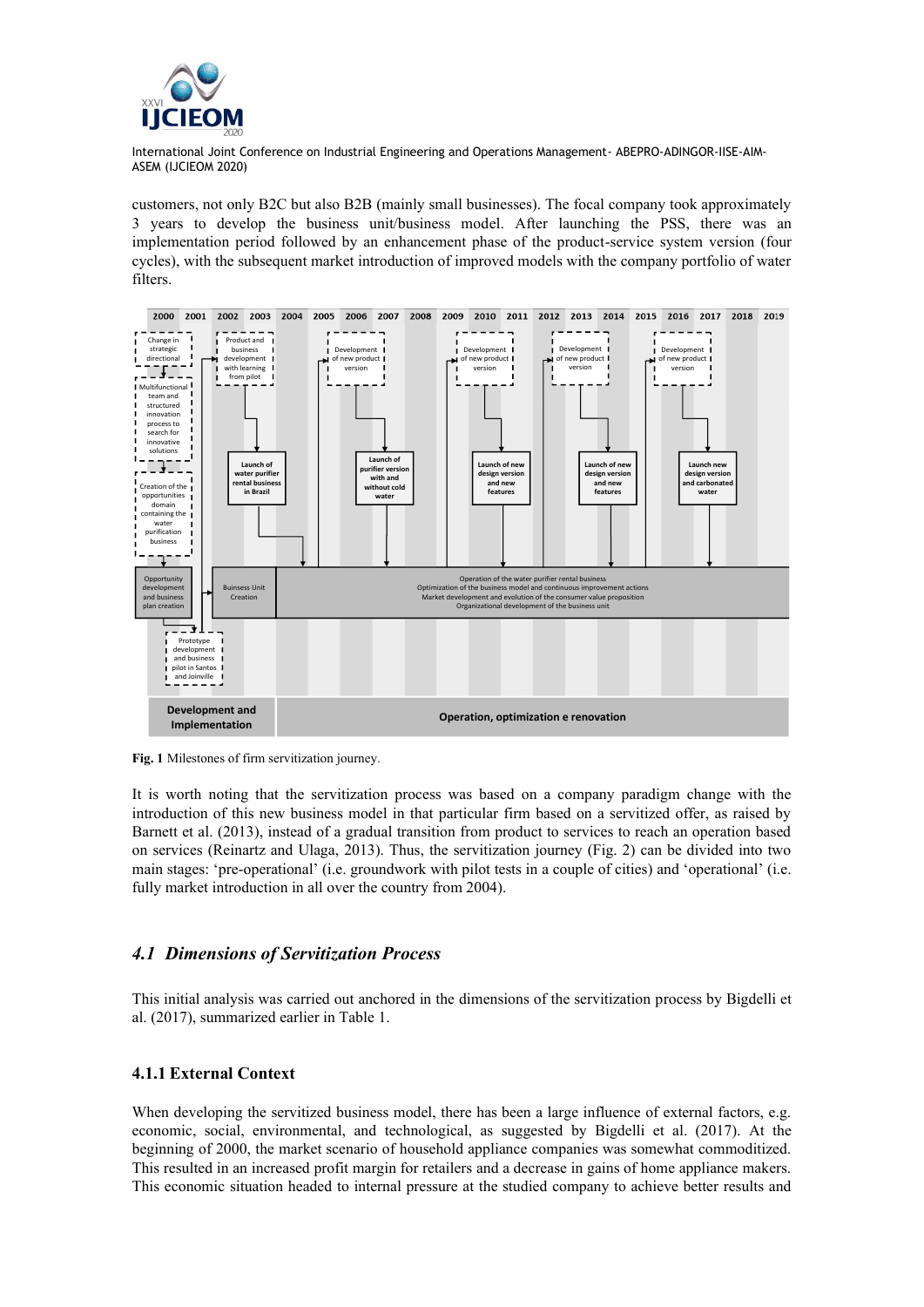

customers, not only B2C but also B2B (mainly small businesses). The focal company took approximately 3 years to develop the business unit/business model. After launching the PSS, there was an implementation period followed by an enhancement phase of the product-service system version (four cycles), with the subsequent market introduction of improved models with the company portfolio of water filters.



**Fig. 1** Milestones of firm servitization journey.

It is worth noting that the servitization process was based on a company paradigm change with the introduction of this new business model in that particular firm based on a servitized offer, as raised by Barnett et al. (2013), instead of a gradual transition from product to services to reach an operation based on services (Reinartz and Ulaga, 2013). Thus, the servitization journey (Fig. 2) can be divided into two main stages: 'pre-operational' (i.e. groundwork with pilot tests in a couple of cities) and 'operational' (i.e. fully market introduction in all over the country from 2004).

## *4.1 Dimensions of Servitization Process*

This initial analysis was carried out anchored in the dimensions of the servitization process by Bigdelli et al. (2017), summarized earlier in Table 1.

## **4.1.1 External Context**

When developing the servitized business model, there has been a large influence of external factors, e.g. economic, social, environmental, and technological, as suggested by Bigdelli et al. (2017). At the beginning of 2000, the market scenario of household appliance companies was somewhat commoditized. This resulted in an increased profit margin for retailers and a decrease in gains of home appliance makers. This economic situation headed to internal pressure at the studied company to achieve better results and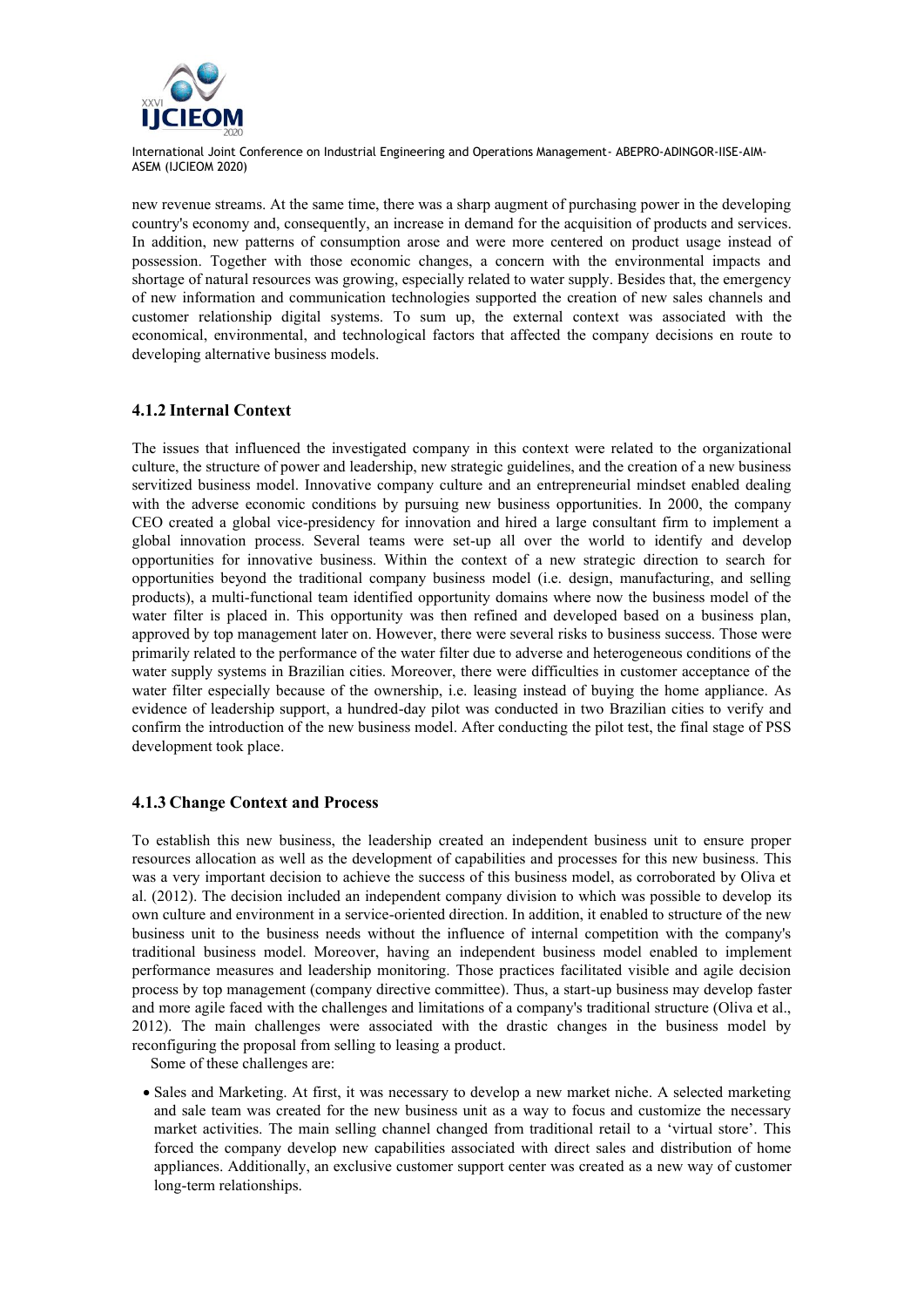

new revenue streams. At the same time, there was a sharp augment of purchasing power in the developing country's economy and, consequently, an increase in demand for the acquisition of products and services. In addition, new patterns of consumption arose and were more centered on product usage instead of possession. Together with those economic changes, a concern with the environmental impacts and shortage of natural resources was growing, especially related to water supply. Besides that, the emergency of new information and communication technologies supported the creation of new sales channels and customer relationship digital systems. To sum up, the external context was associated with the economical, environmental, and technological factors that affected the company decisions en route to developing alternative business models.

## **4.1.2 Internal Context**

The issues that influenced the investigated company in this context were related to the organizational culture, the structure of power and leadership, new strategic guidelines, and the creation of a new business servitized business model. Innovative company culture and an entrepreneurial mindset enabled dealing with the adverse economic conditions by pursuing new business opportunities. In 2000, the company CEO created a global vice-presidency for innovation and hired a large consultant firm to implement a global innovation process. Several teams were set-up all over the world to identify and develop opportunities for innovative business. Within the context of a new strategic direction to search for opportunities beyond the traditional company business model (i.e. design, manufacturing, and selling products), a multi-functional team identified opportunity domains where now the business model of the water filter is placed in. This opportunity was then refined and developed based on a business plan, approved by top management later on. However, there were several risks to business success. Those were primarily related to the performance of the water filter due to adverse and heterogeneous conditions of the water supply systems in Brazilian cities. Moreover, there were difficulties in customer acceptance of the water filter especially because of the ownership, i.e. leasing instead of buying the home appliance. As evidence of leadership support, a hundred-day pilot was conducted in two Brazilian cities to verify and confirm the introduction of the new business model. After conducting the pilot test, the final stage of PSS development took place.

#### **4.1.3 Change Context and Process**

To establish this new business, the leadership created an independent business unit to ensure proper resources allocation as well as the development of capabilities and processes for this new business. This was a very important decision to achieve the success of this business model, as corroborated by Oliva et al. (2012). The decision included an independent company division to which was possible to develop its own culture and environment in a service-oriented direction. In addition, it enabled to structure of the new business unit to the business needs without the influence of internal competition with the company's traditional business model. Moreover, having an independent business model enabled to implement performance measures and leadership monitoring. Those practices facilitated visible and agile decision process by top management (company directive committee). Thus, a start-up business may develop faster and more agile faced with the challenges and limitations of a company's traditional structure (Oliva et al., 2012). The main challenges were associated with the drastic changes in the business model by reconfiguring the proposal from selling to leasing a product.

Some of these challenges are:

• Sales and Marketing. At first, it was necessary to develop a new market niche. A selected marketing and sale team was created for the new business unit as a way to focus and customize the necessary market activities. The main selling channel changed from traditional retail to a 'virtual store'. This forced the company develop new capabilities associated with direct sales and distribution of home appliances. Additionally, an exclusive customer support center was created as a new way of customer long-term relationships.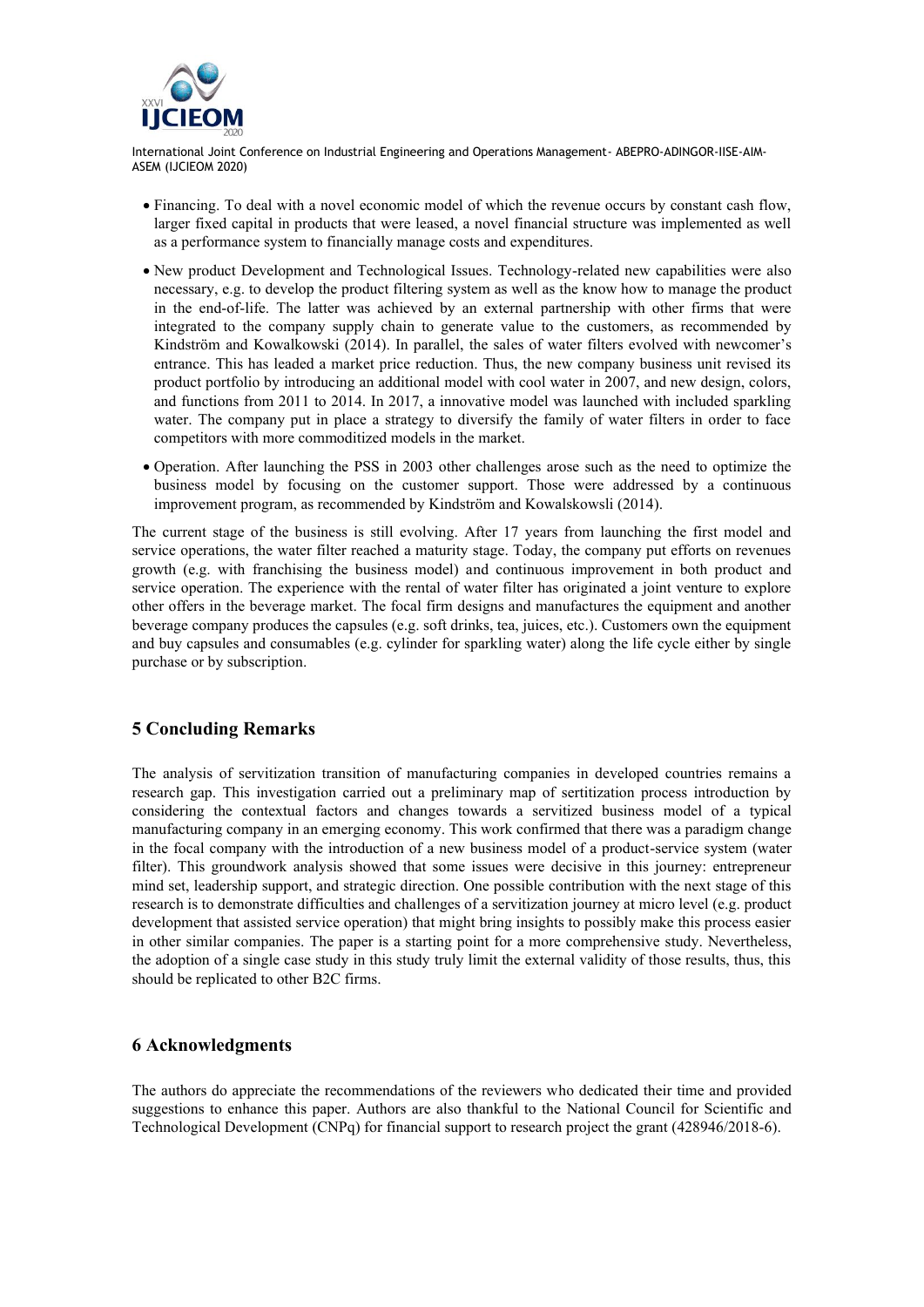

- Financing. To deal with a novel economic model of which the revenue occurs by constant cash flow, larger fixed capital in products that were leased, a novel financial structure was implemented as well as a performance system to financially manage costs and expenditures.
- New product Development and Technological Issues. Technology-related new capabilities were also necessary, e.g. to develop the product filtering system as well as the know how to manage the product in the end-of-life. The latter was achieved by an external partnership with other firms that were integrated to the company supply chain to generate value to the customers, as recommended by Kindström and Kowalkowski (2014). In parallel, the sales of water filters evolved with newcomer's entrance. This has leaded a market price reduction. Thus, the new company business unit revised its product portfolio by introducing an additional model with cool water in 2007, and new design, colors, and functions from 2011 to 2014. In 2017, a innovative model was launched with included sparkling water. The company put in place a strategy to diversify the family of water filters in order to face competitors with more commoditized models in the market.
- Operation. After launching the PSS in 2003 other challenges arose such as the need to optimize the business model by focusing on the customer support. Those were addressed by a continuous improvement program, as recommended by Kindström and Kowalskowsli (2014).

The current stage of the business is still evolving. After 17 years from launching the first model and service operations, the water filter reached a maturity stage. Today, the company put efforts on revenues growth (e.g. with franchising the business model) and continuous improvement in both product and service operation. The experience with the rental of water filter has originated a joint venture to explore other offers in the beverage market. The focal firm designs and manufactures the equipment and another beverage company produces the capsules (e.g. soft drinks, tea, juices, etc.). Customers own the equipment and buy capsules and consumables (e.g. cylinder for sparkling water) along the life cycle either by single purchase or by subscription.

# **5 Concluding Remarks**

The analysis of servitization transition of manufacturing companies in developed countries remains a research gap. This investigation carried out a preliminary map of sertitization process introduction by considering the contextual factors and changes towards a servitized business model of a typical manufacturing company in an emerging economy. This work confirmed that there was a paradigm change in the focal company with the introduction of a new business model of a product-service system (water filter). This groundwork analysis showed that some issues were decisive in this journey: entrepreneur mind set, leadership support, and strategic direction. One possible contribution with the next stage of this research is to demonstrate difficulties and challenges of a servitization journey at micro level (e.g. product development that assisted service operation) that might bring insights to possibly make this process easier in other similar companies. The paper is a starting point for a more comprehensive study. Nevertheless, the adoption of a single case study in this study truly limit the external validity of those results, thus, this should be replicated to other B2C firms.

## **6 Acknowledgments**

The authors do appreciate the recommendations of the reviewers who dedicated their time and provided suggestions to enhance this paper. Authors are also thankful to the National Council for Scientific and Technological Development (CNPq) for financial support to research project the grant (428946/2018-6).